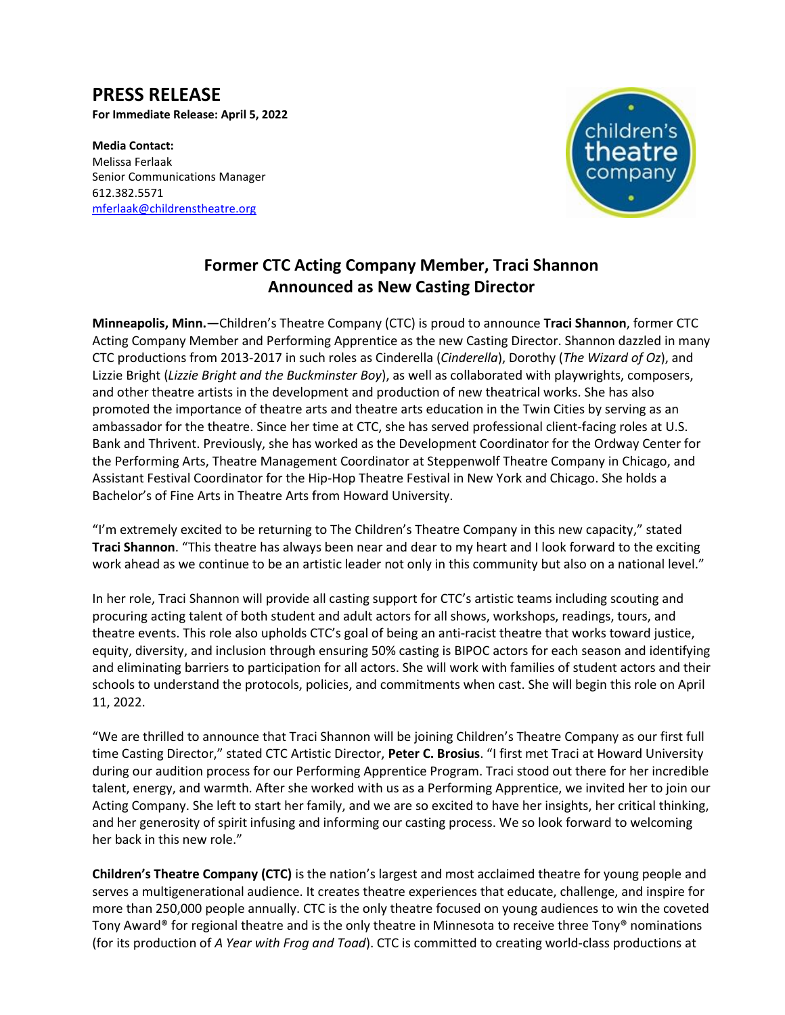## **PRESS RELEASE**

**For Immediate Release: April 5, 2022**

**Media Contact:**  Melissa Ferlaak Senior Communications Manager 612.382.5571 [mferlaak@childrenstheatre.org](mailto:mferlaak@childrenstheatre.org)



## **Former CTC Acting Company Member, Traci Shannon Announced as New Casting Director**

**Minneapolis, Minn.—**Children's Theatre Company (CTC) is proud to announce **Traci Shannon**, former CTC Acting Company Member and Performing Apprentice as the new Casting Director. Shannon dazzled in many CTC productions from 2013-2017 in such roles as Cinderella (*Cinderella*), Dorothy (*The Wizard of Oz*), and Lizzie Bright (*Lizzie Bright and the Buckminster Boy*), as well as collaborated with playwrights, composers, and other theatre artists in the development and production of new theatrical works. She has also promoted the importance of theatre arts and theatre arts education in the Twin Cities by serving as an ambassador for the theatre. Since her time at CTC, she has served professional client-facing roles at U.S. Bank and Thrivent. Previously, she has worked as the Development Coordinator for the Ordway Center for the Performing Arts, Theatre Management Coordinator at Steppenwolf Theatre Company in Chicago, and Assistant Festival Coordinator for the Hip-Hop Theatre Festival in New York and Chicago. She holds a Bachelor's of Fine Arts in Theatre Arts from Howard University.

"I'm extremely excited to be returning to The Children's Theatre Company in this new capacity," stated **Traci Shannon**. "This theatre has always been near and dear to my heart and I look forward to the exciting work ahead as we continue to be an artistic leader not only in this community but also on a national level."

In her role, Traci Shannon will provide all casting support for CTC's artistic teams including scouting and procuring acting talent of both student and adult actors for all shows, workshops, readings, tours, and theatre events. This role also upholds CTC's goal of being an anti-racist theatre that works toward justice, equity, diversity, and inclusion through ensuring 50% casting is BIPOC actors for each season and identifying and eliminating barriers to participation for all actors. She will work with families of student actors and their schools to understand the protocols, policies, and commitments when cast. She will begin this role on April 11, 2022.

"We are thrilled to announce that Traci Shannon will be joining Children's Theatre Company as our first full time Casting Director," stated CTC Artistic Director, **Peter C. Brosius**. "I first met Traci at Howard University during our audition process for our Performing Apprentice Program. Traci stood out there for her incredible talent, energy, and warmth. After she worked with us as a Performing Apprentice, we invited her to join our Acting Company. She left to start her family, and we are so excited to have her insights, her critical thinking, and her generosity of spirit infusing and informing our casting process. We so look forward to welcoming her back in this new role."

**Children's Theatre Company (CTC)** is the nation's largest and most acclaimed theatre for young people and serves a multigenerational audience. It creates theatre experiences that educate, challenge, and inspire for more than 250,000 people annually. CTC is the only theatre focused on young audiences to win the coveted Tony Award® for regional theatre and is the only theatre in Minnesota to receive three Tony® nominations (for its production of *A Year with Frog and Toad*). CTC is committed to creating world-class productions at